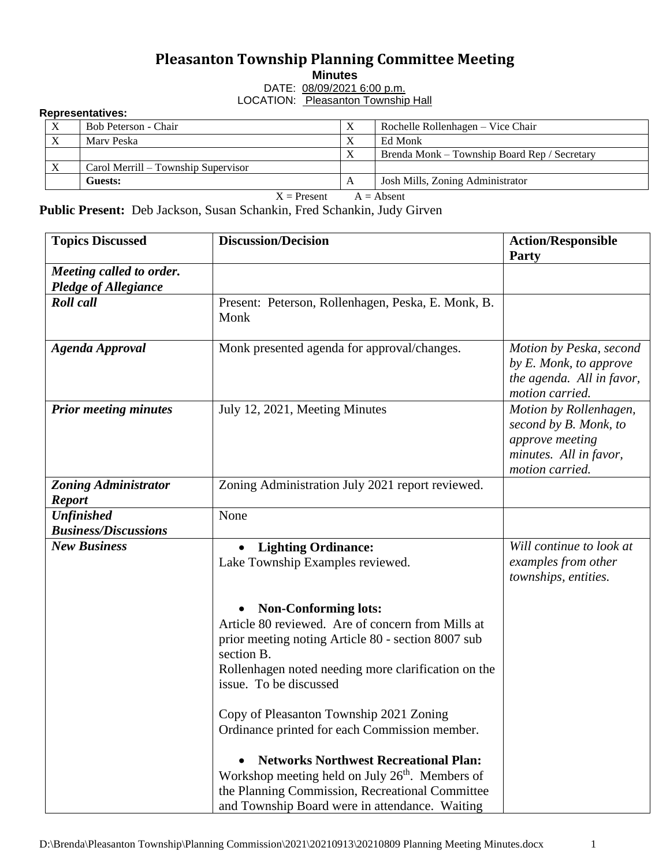## **Pleasanton Township Planning Committee Meeting**

**Minutes**

DATE: 08/09/2021 6:00 p.m. LOCATION: Pleasanton Township Hall

## **Representatives:**

| $\mathbf{v}$                                                                                                                                                                                                                                                                                                                   | Bob Peterson - Chair                |              | Rochelle Rollenhagen – Vice Chair            |  |  |  |  |
|--------------------------------------------------------------------------------------------------------------------------------------------------------------------------------------------------------------------------------------------------------------------------------------------------------------------------------|-------------------------------------|--------------|----------------------------------------------|--|--|--|--|
|                                                                                                                                                                                                                                                                                                                                | Mary Peska                          |              | Ed Monk                                      |  |  |  |  |
|                                                                                                                                                                                                                                                                                                                                |                                     | τz           | Brenda Monk – Township Board Rep / Secretary |  |  |  |  |
|                                                                                                                                                                                                                                                                                                                                | Carol Merrill – Township Supervisor |              |                                              |  |  |  |  |
|                                                                                                                                                                                                                                                                                                                                | Guests:                             | $\mathbf{A}$ | Josh Mills, Zoning Administrator             |  |  |  |  |
| $\mathbf{v}$ and $\mathbf{v}$ and $\mathbf{v}$ and $\mathbf{v}$ and $\mathbf{v}$ and $\mathbf{v}$ and $\mathbf{v}$ and $\mathbf{v}$ and $\mathbf{v}$ and $\mathbf{v}$ and $\mathbf{v}$ and $\mathbf{v}$ and $\mathbf{v}$ and $\mathbf{v}$ and $\mathbf{v}$ and $\mathbf{v}$ and $\mathbf{v}$ and<br>$\cdots$<br>$\blacksquare$ |                                     |              |                                              |  |  |  |  |

 $X =$ Present  $A =$  Absent

**Public Present:** Deb Jackson, Susan Schankin, Fred Schankin, Judy Girven

| <b>Topics Discussed</b>                                 | <b>Discussion/Decision</b>                                                                                                                                                                                                            | <b>Action/Responsible</b><br><b>Party</b>                                                                       |
|---------------------------------------------------------|---------------------------------------------------------------------------------------------------------------------------------------------------------------------------------------------------------------------------------------|-----------------------------------------------------------------------------------------------------------------|
| Meeting called to order.<br><b>Pledge of Allegiance</b> |                                                                                                                                                                                                                                       |                                                                                                                 |
| <b>Roll</b> call                                        | Present: Peterson, Rollenhagen, Peska, E. Monk, B.<br>Monk                                                                                                                                                                            |                                                                                                                 |
| <b>Agenda Approval</b>                                  | Monk presented agenda for approval/changes.                                                                                                                                                                                           | Motion by Peska, second<br>by E. Monk, to approve<br>the agenda. All in favor,<br>motion carried.               |
| <b>Prior meeting minutes</b>                            | July 12, 2021, Meeting Minutes                                                                                                                                                                                                        | Motion by Rollenhagen,<br>second by B. Monk, to<br>approve meeting<br>minutes. All in favor,<br>motion carried. |
| <b>Zoning Administrator</b><br><b>Report</b>            | Zoning Administration July 2021 report reviewed.                                                                                                                                                                                      |                                                                                                                 |
| <b>Unfinished</b>                                       | None                                                                                                                                                                                                                                  |                                                                                                                 |
| <b>Business/Discussions</b>                             |                                                                                                                                                                                                                                       |                                                                                                                 |
| <b>New Business</b>                                     | <b>Lighting Ordinance:</b><br>Lake Township Examples reviewed.                                                                                                                                                                        | Will continue to look at<br>examples from other<br>townships, entities.                                         |
|                                                         | <b>Non-Conforming lots:</b><br>Article 80 reviewed. Are of concern from Mills at<br>prior meeting noting Article 80 - section 8007 sub<br>section B.<br>Rollenhagen noted needing more clarification on the<br>issue. To be discussed |                                                                                                                 |
|                                                         | Copy of Pleasanton Township 2021 Zoning<br>Ordinance printed for each Commission member.                                                                                                                                              |                                                                                                                 |
|                                                         | <b>Networks Northwest Recreational Plan:</b><br>Workshop meeting held on July 26 <sup>th</sup> . Members of<br>the Planning Commission, Recreational Committee<br>and Township Board were in attendance. Waiting                      |                                                                                                                 |